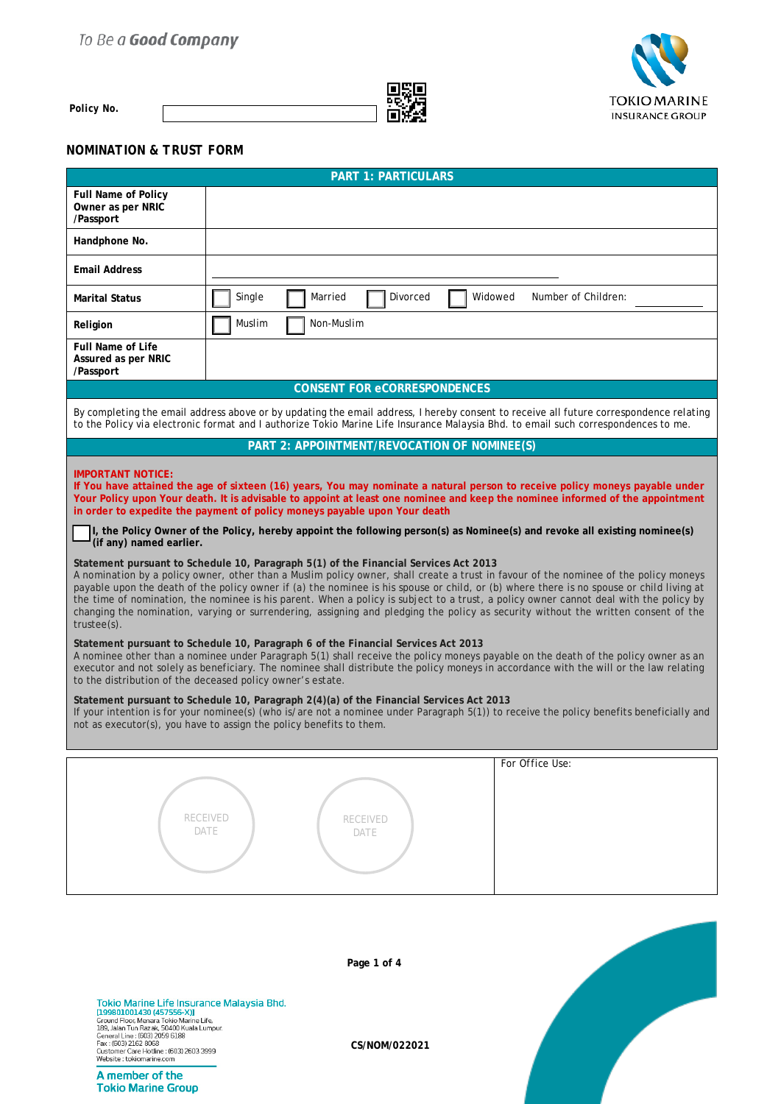## To Be a Good Company



*Policy No.* 



## *NOMINATION & TRUST FORM*

|                                                                                                                                                                                                                                                                                                                                                | <b>PART 1: PARTICULARS</b>                                                                                                                                                                                                                                                                                                                                                                                                                                                                                                                                                                                                                              |  |  |
|------------------------------------------------------------------------------------------------------------------------------------------------------------------------------------------------------------------------------------------------------------------------------------------------------------------------------------------------|---------------------------------------------------------------------------------------------------------------------------------------------------------------------------------------------------------------------------------------------------------------------------------------------------------------------------------------------------------------------------------------------------------------------------------------------------------------------------------------------------------------------------------------------------------------------------------------------------------------------------------------------------------|--|--|
| <b>Full Name of Policy</b><br>Owner as per NRIC<br>/Passport                                                                                                                                                                                                                                                                                   |                                                                                                                                                                                                                                                                                                                                                                                                                                                                                                                                                                                                                                                         |  |  |
| Handphone No.                                                                                                                                                                                                                                                                                                                                  |                                                                                                                                                                                                                                                                                                                                                                                                                                                                                                                                                                                                                                                         |  |  |
| <b>Email Address</b>                                                                                                                                                                                                                                                                                                                           |                                                                                                                                                                                                                                                                                                                                                                                                                                                                                                                                                                                                                                                         |  |  |
| <b>Marital Status</b>                                                                                                                                                                                                                                                                                                                          | Single<br>Widowed<br>Number of Children:<br>Married<br>Divorced                                                                                                                                                                                                                                                                                                                                                                                                                                                                                                                                                                                         |  |  |
| Religion                                                                                                                                                                                                                                                                                                                                       | Muslim<br>Non-Muslim                                                                                                                                                                                                                                                                                                                                                                                                                                                                                                                                                                                                                                    |  |  |
| <b>Full Name of Life</b><br>Assured as per NRIC<br>/Passport                                                                                                                                                                                                                                                                                   |                                                                                                                                                                                                                                                                                                                                                                                                                                                                                                                                                                                                                                                         |  |  |
|                                                                                                                                                                                                                                                                                                                                                | <b>CONSENT FOR eCORRESPONDENCES</b>                                                                                                                                                                                                                                                                                                                                                                                                                                                                                                                                                                                                                     |  |  |
|                                                                                                                                                                                                                                                                                                                                                | By completing the email address above or by updating the email address, I hereby consent to receive all future correspondence relating<br>to the Policy via electronic format and I authorize Tokio Marine Life Insurance Malaysia Bhd. to email such correspondences to me.                                                                                                                                                                                                                                                                                                                                                                            |  |  |
|                                                                                                                                                                                                                                                                                                                                                | PART 2: APPOINTMENT/REVOCATION OF NOMINEE(S)                                                                                                                                                                                                                                                                                                                                                                                                                                                                                                                                                                                                            |  |  |
| <b>IMPORTANT NOTICE:</b>                                                                                                                                                                                                                                                                                                                       | If You have attained the age of sixteen (16) years, You may nominate a natural person to receive policy moneys payable under<br>Your Policy upon Your death. It is advisable to appoint at least one nominee and keep the nominee informed of the appointment<br>in order to expedite the payment of policy moneys payable upon Your death<br>I, the Policy Owner of the Policy, hereby appoint the following person(s) as Nominee(s) and revoke all existing nominee(s)                                                                                                                                                                                |  |  |
| (if any) named earlier.                                                                                                                                                                                                                                                                                                                        |                                                                                                                                                                                                                                                                                                                                                                                                                                                                                                                                                                                                                                                         |  |  |
| $trustee(s)$ .                                                                                                                                                                                                                                                                                                                                 | Statement pursuant to Schedule 10, Paragraph 5(1) of the Financial Services Act 2013<br>A nomination by a policy owner, other than a Muslim policy owner, shall create a trust in favour of the nominee of the policy moneys<br>payable upon the death of the policy owner if (a) the nominee is his spouse or child, or (b) where there is no spouse or child living at<br>the time of nomination, the nominee is his parent. When a policy is subject to a trust, a policy owner cannot deal with the policy by<br>changing the nomination, varying or surrendering, assigning and pledging the policy as security without the written consent of the |  |  |
|                                                                                                                                                                                                                                                                                                                                                | Statement pursuant to Schedule 10, Paragraph 6 of the Financial Services Act 2013<br>A nominee other than a nominee under Paragraph 5(1) shall receive the policy moneys payable on the death of the policy owner as an<br>executor and not solely as beneficiary. The nominee shall distribute the policy moneys in accordance with the will or the law relating<br>to the distribution of the deceased policy owner's estate.                                                                                                                                                                                                                         |  |  |
|                                                                                                                                                                                                                                                                                                                                                | Statement pursuant to Schedule 10, Paragraph 2(4)(a) of the Financial Services Act 2013<br>If your intention is for your nominee(s) (who is/are not a nominee under Paragraph 5(1)) to receive the policy benefits beneficially and<br>not as executor(s), you have to assign the policy benefits to them.                                                                                                                                                                                                                                                                                                                                              |  |  |
|                                                                                                                                                                                                                                                                                                                                                | For Office Use:                                                                                                                                                                                                                                                                                                                                                                                                                                                                                                                                                                                                                                         |  |  |
|                                                                                                                                                                                                                                                                                                                                                | <b>RECEIVED</b><br><b>RECEIVED</b><br>DATE<br>DATE                                                                                                                                                                                                                                                                                                                                                                                                                                                                                                                                                                                                      |  |  |
| Page 1 of 4                                                                                                                                                                                                                                                                                                                                    |                                                                                                                                                                                                                                                                                                                                                                                                                                                                                                                                                                                                                                                         |  |  |
| Tokio Marine Life Insurance Malaysia Bhd.<br>[199801001430 (457556-X)]<br>Ground Floor, Menara Tokio Marine Life,<br>189, Jalan Tun Razak, 50400 Kuala Lumpur.<br>General Line: (603) 2059 6188<br>Fax: (603) 2162 8068<br>Customer Care Hotline : (603) 2603 3999<br>Website: tokiomarine.com<br>A member of the<br><b>Tokio Marine Group</b> | CS/NOM/022021                                                                                                                                                                                                                                                                                                                                                                                                                                                                                                                                                                                                                                           |  |  |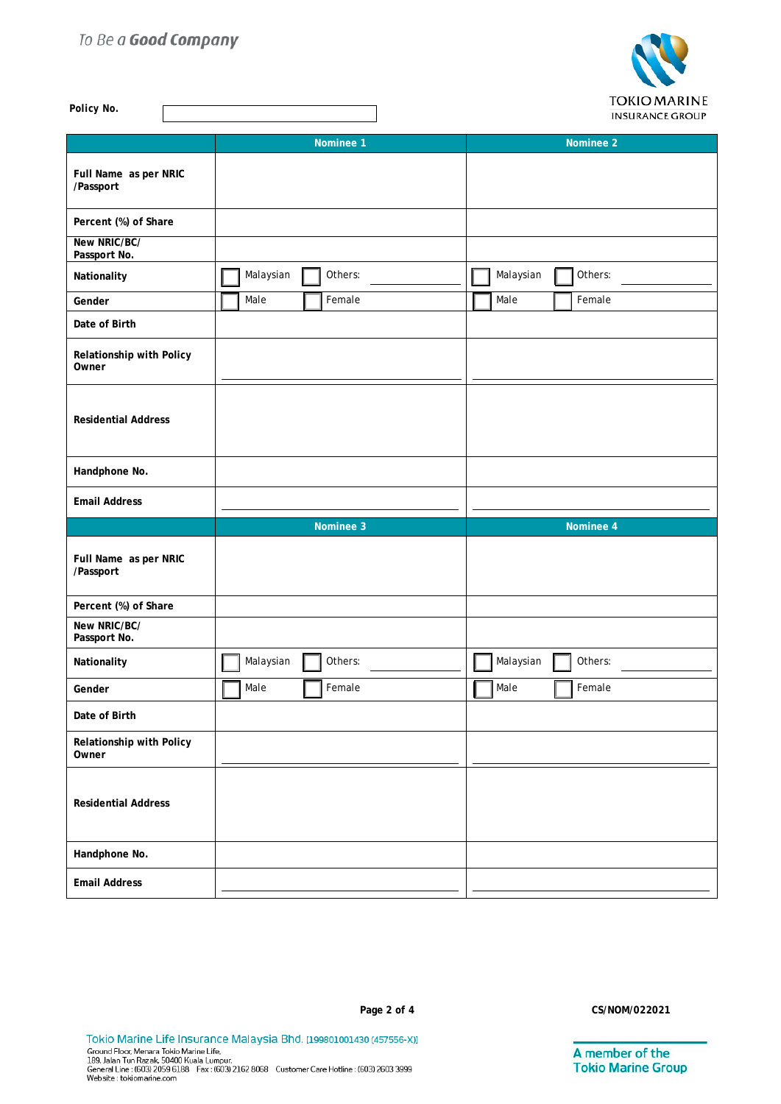## To Be a Good Company



| Policy No.                         | <b>IONIO MARINE</b><br><b>INSURANCE GROUP</b> |                       |  |  |
|------------------------------------|-----------------------------------------------|-----------------------|--|--|
|                                    | Nominee 1                                     | Nominee 2             |  |  |
| Full Name as per NRIC<br>/Passport |                                               |                       |  |  |
| Percent (%) of Share               |                                               |                       |  |  |
| New NRIC/BC/<br>Passport No.       |                                               |                       |  |  |
| Nationality                        | Malaysian<br>Others:                          | Malaysian<br>Others:  |  |  |
| Gender                             | Female<br>Male                                | Female<br>Male        |  |  |
| Date of Birth                      |                                               |                       |  |  |
| Relationship with Policy<br>Owner  |                                               |                       |  |  |
| <b>Residential Address</b>         |                                               |                       |  |  |
| Handphone No.                      |                                               |                       |  |  |
| <b>Email Address</b>               |                                               |                       |  |  |
|                                    | Nominee 3                                     | Nominee 4             |  |  |
| Full Name as per NRIC<br>/Passport |                                               |                       |  |  |
| Percent (%) of Share               |                                               |                       |  |  |
| New NRIC/BC/<br>Passport No.       |                                               |                       |  |  |
| Nationality                        | Malaysian<br>Others:                          | Malaysian<br>Others:  |  |  |
| Gender                             | $\overline{\mathbb{I}}$ Male<br>Female        | $\Box$ Male<br>Female |  |  |
| Date of Birth                      |                                               |                       |  |  |
| Relationship with Policy<br>Owner  |                                               |                       |  |  |
| <b>Residential Address</b>         |                                               |                       |  |  |
| Handphone No.                      |                                               |                       |  |  |
| <b>Email Address</b>               |                                               |                       |  |  |

A member of the<br>Tokio Marine Group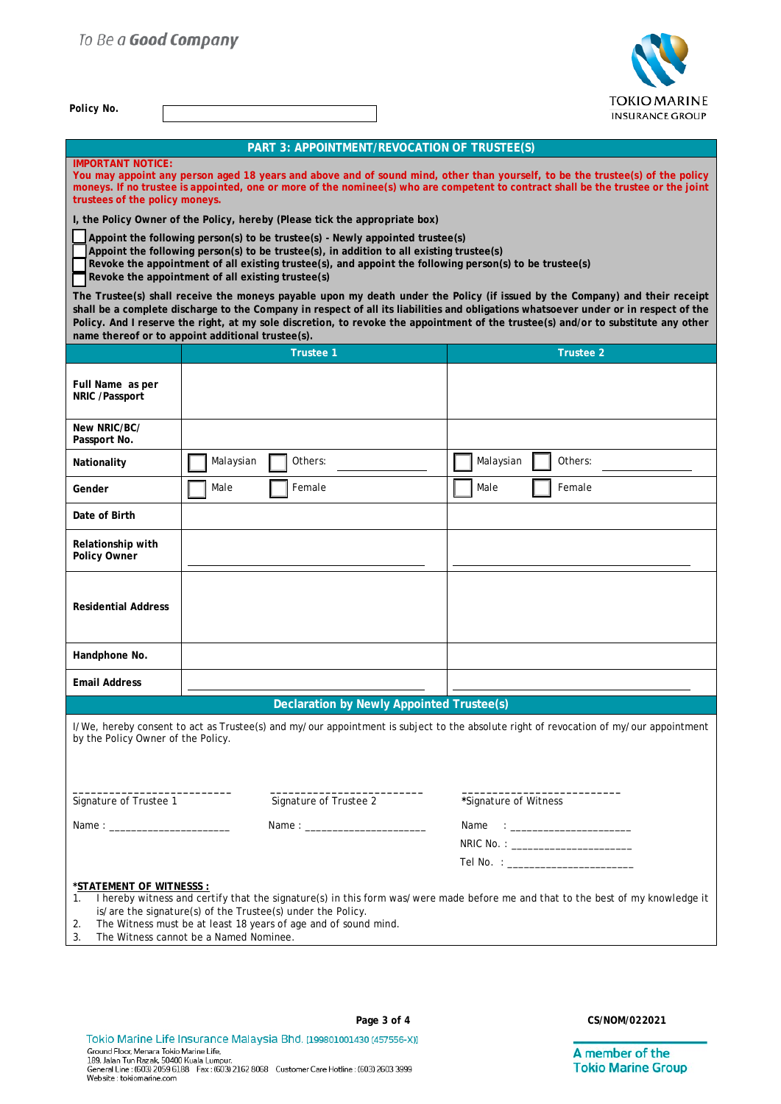*Policy No.* 



|  | PART 3: APPOINTMENT/REVOCATION OF TRUSTEE(S) |
|--|----------------------------------------------|
|  |                                              |

| <b>IMPORTANT NOTICE:</b><br>trustees of the policy moneys.                                                                                                                                                                                                                                                                                |                                                                             | You may appoint any person aged 18 years and above and of sound mind, other than yourself, to be the trustee(s) of the policy<br>moneys. If no trustee is appointed, one or more of the nominee(s) who are competent to contract shall be the trustee or the joint                                                                                                                                        |  |  |
|-------------------------------------------------------------------------------------------------------------------------------------------------------------------------------------------------------------------------------------------------------------------------------------------------------------------------------------------|-----------------------------------------------------------------------------|-----------------------------------------------------------------------------------------------------------------------------------------------------------------------------------------------------------------------------------------------------------------------------------------------------------------------------------------------------------------------------------------------------------|--|--|
|                                                                                                                                                                                                                                                                                                                                           | I, the Policy Owner of the Policy, hereby (Please tick the appropriate box) |                                                                                                                                                                                                                                                                                                                                                                                                           |  |  |
| Appoint the following person(s) to be trustee(s) - Newly appointed trustee(s)<br>Appoint the following person(s) to be trustee(s), in addition to all existing trustee(s)<br>Revoke the appointment of all existing trustee(s), and appoint the following person(s) to be trustee(s)<br>Revoke the appointment of all existing trustee(s) |                                                                             |                                                                                                                                                                                                                                                                                                                                                                                                           |  |  |
|                                                                                                                                                                                                                                                                                                                                           | name thereof or to appoint additional trustee(s).                           | The Trustee(s) shall receive the moneys payable upon my death under the Policy (if issued by the Company) and their receipt<br>shall be a complete discharge to the Company in respect of all its liabilities and obligations whatsoever under or in respect of the<br>Policy. And I reserve the right, at my sole discretion, to revoke the appointment of the trustee(s) and/or to substitute any other |  |  |
|                                                                                                                                                                                                                                                                                                                                           | <b>Trustee 1</b>                                                            | <b>Trustee 2</b>                                                                                                                                                                                                                                                                                                                                                                                          |  |  |
|                                                                                                                                                                                                                                                                                                                                           |                                                                             |                                                                                                                                                                                                                                                                                                                                                                                                           |  |  |
| Full Name as per<br>NRIC /Passport                                                                                                                                                                                                                                                                                                        |                                                                             |                                                                                                                                                                                                                                                                                                                                                                                                           |  |  |
| New NRIC/BC/<br>Passport No.                                                                                                                                                                                                                                                                                                              |                                                                             |                                                                                                                                                                                                                                                                                                                                                                                                           |  |  |
| Nationality                                                                                                                                                                                                                                                                                                                               | Malaysian<br>Others:                                                        | Malaysian<br>Others:                                                                                                                                                                                                                                                                                                                                                                                      |  |  |
| Gender                                                                                                                                                                                                                                                                                                                                    | Female<br>Male                                                              | Male<br>Female                                                                                                                                                                                                                                                                                                                                                                                            |  |  |
| Date of Birth                                                                                                                                                                                                                                                                                                                             |                                                                             |                                                                                                                                                                                                                                                                                                                                                                                                           |  |  |
| Relationship with<br>Policy Owner                                                                                                                                                                                                                                                                                                         |                                                                             |                                                                                                                                                                                                                                                                                                                                                                                                           |  |  |
| <b>Residential Address</b>                                                                                                                                                                                                                                                                                                                |                                                                             |                                                                                                                                                                                                                                                                                                                                                                                                           |  |  |
| Handphone No.                                                                                                                                                                                                                                                                                                                             |                                                                             |                                                                                                                                                                                                                                                                                                                                                                                                           |  |  |
| <b>Email Address</b>                                                                                                                                                                                                                                                                                                                      |                                                                             |                                                                                                                                                                                                                                                                                                                                                                                                           |  |  |
|                                                                                                                                                                                                                                                                                                                                           | <b>Declaration by Newly Appointed Trustee(s)</b>                            |                                                                                                                                                                                                                                                                                                                                                                                                           |  |  |
|                                                                                                                                                                                                                                                                                                                                           |                                                                             |                                                                                                                                                                                                                                                                                                                                                                                                           |  |  |
| by the Policy Owner of the Policy.                                                                                                                                                                                                                                                                                                        |                                                                             | I/We, hereby consent to act as Trustee(s) and my/our appointment is subject to the absolute right of revocation of my/our appointment                                                                                                                                                                                                                                                                     |  |  |
|                                                                                                                                                                                                                                                                                                                                           |                                                                             |                                                                                                                                                                                                                                                                                                                                                                                                           |  |  |
| Signature of Trustee 1                                                                                                                                                                                                                                                                                                                    | Signature of Trustee 2                                                      | *Signature of Witness                                                                                                                                                                                                                                                                                                                                                                                     |  |  |
|                                                                                                                                                                                                                                                                                                                                           |                                                                             |                                                                                                                                                                                                                                                                                                                                                                                                           |  |  |
|                                                                                                                                                                                                                                                                                                                                           |                                                                             | NRIC No. : _________________________                                                                                                                                                                                                                                                                                                                                                                      |  |  |
|                                                                                                                                                                                                                                                                                                                                           |                                                                             | Tel No. : ________________________                                                                                                                                                                                                                                                                                                                                                                        |  |  |
| *STATEMENT OF WITNESSS :<br>I hereby witness and certify that the signature(s) in this form was/were made before me and that to the best of my knowledge it<br>1.<br>is/are the signature(s) of the Trustee(s) under the Policy.<br>The Witness must be at least 18 years of age and of sound mind.<br>2.                                 |                                                                             |                                                                                                                                                                                                                                                                                                                                                                                                           |  |  |

3. The Witness cannot be a Named Nominee.

Tokio Marine Life Insurance Malaysia Bhd. [199801001430 (457556-X)] TORIO Malifie Life il Sul affle MalaySia Difu. [199801001430 (457556-X)<br>Ground Floor, Menara Tokio Marine Life,<br>189, Jalan Tun Razak, 50400 Kuala Lumpur.<br>General Line : (603) 2059 6188 Fax : (603) 2162 8068 Customer Care H

**Page 3 of 4 CS/NOM/022021**

A member of the **Tokio Marine Group**